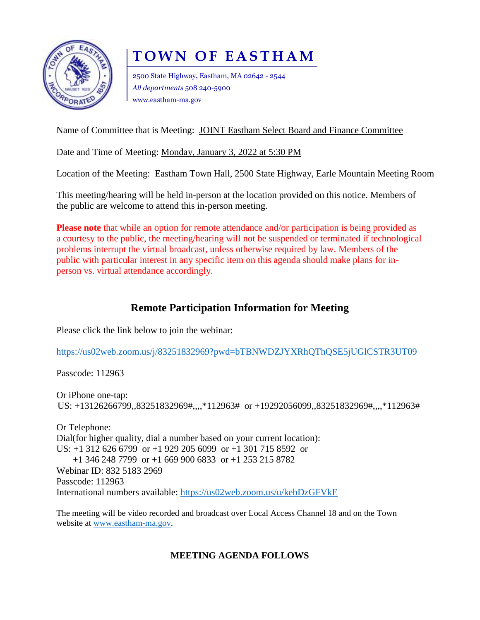

# **T O W N O F E A S T H A M**

2500 State Highway, Eastham, MA 02642 - 2544 *All departments* 508 240-5900 www.eastham-ma.gov

Name of Committee that is Meeting: JOINT Eastham Select Board and Finance Committee

Date and Time of Meeting: Monday, January 3, 2022 at 5:30 PM

Location of the Meeting: Eastham Town Hall, 2500 State Highway, Earle Mountain Meeting Room

This meeting/hearing will be held in-person at the location provided on this notice. Members of the public are welcome to attend this in-person meeting.

**Please note** that while an option for remote attendance and/or participation is being provided as a courtesy to the public, the meeting/hearing will not be suspended or terminated if technological problems interrupt the virtual broadcast, unless otherwise required by law. Members of the public with particular interest in any specific item on this agenda should make plans for inperson vs. virtual attendance accordingly.

## **Remote Participation Information for Meeting**

Please click the link below to join the webinar:

<https://us02web.zoom.us/j/83251832969?pwd=bTBNWDZJYXRhQThQSE5jUGlCSTR3UT09>

Passcode: 112963

Or iPhone one-tap: US: +13126266799,,83251832969#,,,,\*112963# or +19292056099,,83251832969#,,,,\*112963#

Or Telephone: Dial(for higher quality, dial a number based on your current location): US: +1 312 626 6799 or +1 929 205 6099 or +1 301 715 8592 or +1 346 248 7799 or +1 669 900 6833 or +1 253 215 8782 Webinar ID: 832 5183 2969 Passcode: 112963 International numbers available:<https://us02web.zoom.us/u/kebDzGFVkE>

The meeting will be video recorded and broadcast over Local Access Channel 18 and on the Town website at [www.eastham-ma.gov.](http://www.eastham-ma.gov/)

## **MEETING AGENDA FOLLOWS**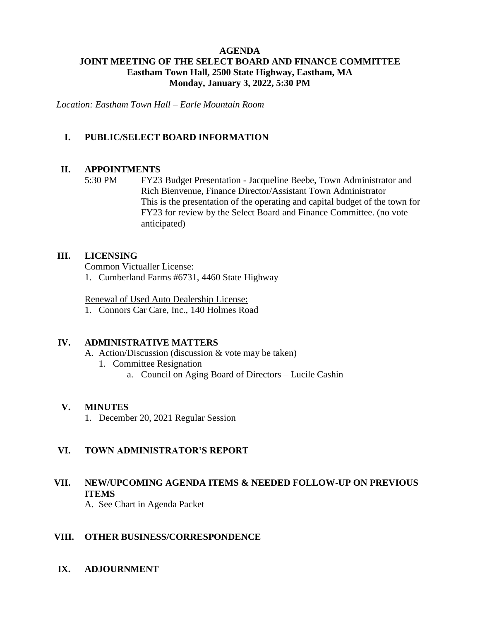### **AGENDA JOINT MEETING OF THE SELECT BOARD AND FINANCE COMMITTEE Eastham Town Hall, 2500 State Highway, Eastham, MA Monday, January 3, 2022, 5:30 PM**

*Location: Eastham Town Hall – Earle Mountain Room*

### **I. PUBLIC/SELECT BOARD INFORMATION**

#### **II. APPOINTMENTS**

5:30 PM FY23 Budget Presentation - Jacqueline Beebe, Town Administrator and Rich Bienvenue, Finance Director/Assistant Town Administrator This is the presentation of the operating and capital budget of the town for FY23 for review by the Select Board and Finance Committee. (no vote anticipated)

#### **III. LICENSING**

Common Victualler License:

1. Cumberland Farms #6731, 4460 State Highway

Renewal of Used Auto Dealership License:

1. Connors Car Care, Inc., 140 Holmes Road

#### **IV. ADMINISTRATIVE MATTERS**

- A. Action/Discussion (discussion & vote may be taken)
	- 1. Committee Resignation
		- a. Council on Aging Board of Directors Lucile Cashin

#### **V. MINUTES**

1. December 20, 2021 Regular Session

#### **VI. TOWN ADMINISTRATOR'S REPORT**

## **VII. NEW/UPCOMING AGENDA ITEMS & NEEDED FOLLOW-UP ON PREVIOUS ITEMS**

A. See Chart in Agenda Packet

#### **VIII. OTHER BUSINESS/CORRESPONDENCE**

**IX. ADJOURNMENT**